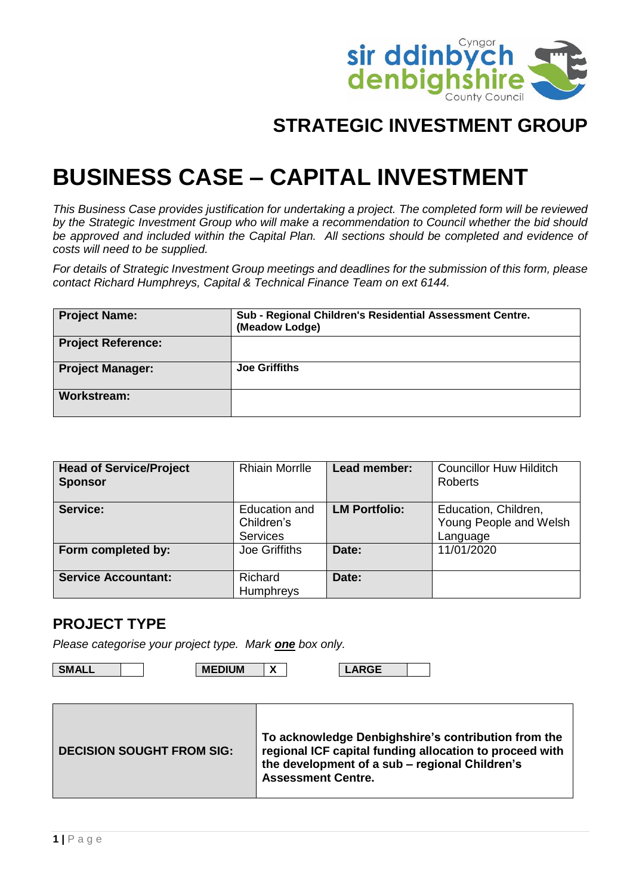

## **STRATEGIC INVESTMENT GROUP**

# **BUSINESS CASE – CAPITAL INVESTMENT**

*This Business Case provides justification for undertaking a project. The completed form will be reviewed by the Strategic Investment Group who will make a recommendation to Council whether the bid should*  be approved and included within the Capital Plan. All sections should be completed and evidence of *costs will need to be supplied.*

*For details of Strategic Investment Group meetings and deadlines for the submission of this form, please contact Richard Humphreys, Capital & Technical Finance Team on ext 6144.*

| <b>Project Name:</b>      | Sub - Regional Children's Residential Assessment Centre.<br>(Meadow Lodge) |
|---------------------------|----------------------------------------------------------------------------|
| <b>Project Reference:</b> |                                                                            |
| <b>Project Manager:</b>   | <b>Joe Griffiths</b>                                                       |
| <b>Workstream:</b>        |                                                                            |

| <b>Head of Service/Project</b><br><b>Sponsor</b> | <b>Rhiain Morrille</b>                                | Lead member:         | <b>Councillor Huw Hilditch</b><br><b>Roberts</b>           |
|--------------------------------------------------|-------------------------------------------------------|----------------------|------------------------------------------------------------|
| Service:                                         | <b>Education and</b><br>Children's<br><b>Services</b> | <b>LM Portfolio:</b> | Education, Children,<br>Young People and Welsh<br>Language |
| Form completed by:                               | Joe Griffiths                                         | Date:                | 11/01/2020                                                 |
| <b>Service Accountant:</b>                       | Richard<br>Humphreys                                  | Date:                |                                                            |

#### **PROJECT TYPE**

*Please categorise your project type. Mark one box only.*

**SMALL MEDIUM X LARGE**

| <b>DECISION SOUGHT FROM SIG:</b> | To acknowledge Denbighshire's contribution from the<br>regional ICF capital funding allocation to proceed with<br>the development of a sub – regional Children's<br><b>Assessment Centre.</b> |
|----------------------------------|-----------------------------------------------------------------------------------------------------------------------------------------------------------------------------------------------|
|                                  |                                                                                                                                                                                               |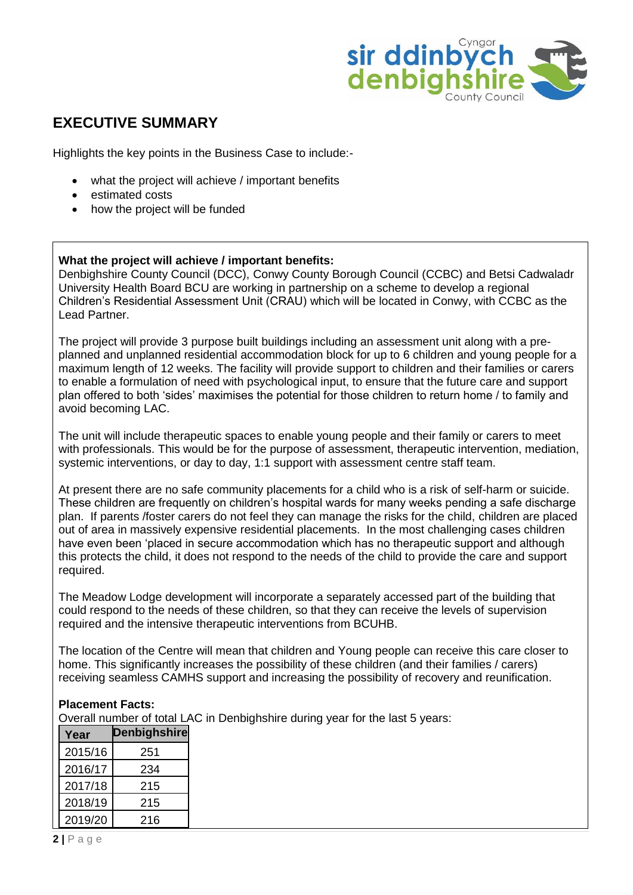

### **EXECUTIVE SUMMARY**

Highlights the key points in the Business Case to include:-

- what the project will achieve / important benefits
- estimated costs
- how the project will be funded

#### **What the project will achieve / important benefits:**

Denbighshire County Council (DCC), Conwy County Borough Council (CCBC) and Betsi Cadwaladr University Health Board BCU are working in partnership on a scheme to develop a regional Children's Residential Assessment Unit (CRAU) which will be located in Conwy, with CCBC as the Lead Partner.

The project will provide 3 purpose built buildings including an assessment unit along with a preplanned and unplanned residential accommodation block for up to 6 children and young people for a maximum length of 12 weeks. The facility will provide support to children and their families or carers to enable a formulation of need with psychological input, to ensure that the future care and support plan offered to both 'sides' maximises the potential for those children to return home / to family and avoid becoming LAC.

The unit will include therapeutic spaces to enable young people and their family or carers to meet with professionals. This would be for the purpose of assessment, therapeutic intervention, mediation, systemic interventions, or day to day, 1:1 support with assessment centre staff team.

At present there are no safe community placements for a child who is a risk of self-harm or suicide. These children are frequently on children's hospital wards for many weeks pending a safe discharge plan. If parents /foster carers do not feel they can manage the risks for the child, children are placed out of area in massively expensive residential placements. In the most challenging cases children have even been 'placed in secure accommodation which has no therapeutic support and although this protects the child, it does not respond to the needs of the child to provide the care and support required.

The Meadow Lodge development will incorporate a separately accessed part of the building that could respond to the needs of these children, so that they can receive the levels of supervision required and the intensive therapeutic interventions from BCUHB.

The location of the Centre will mean that children and Young people can receive this care closer to home. This significantly increases the possibility of these children (and their families / carers) receiving seamless CAMHS support and increasing the possibility of recovery and reunification.

#### **Placement Facts:**

Overall number of total LAC in Denbighshire during year for the last 5 years:

| Year    | <b>Denbighshire</b> |
|---------|---------------------|
| 2015/16 | 251                 |
| 2016/17 | 234                 |
| 2017/18 | 215                 |
| 2018/19 | 215                 |
| 2019/20 | 216                 |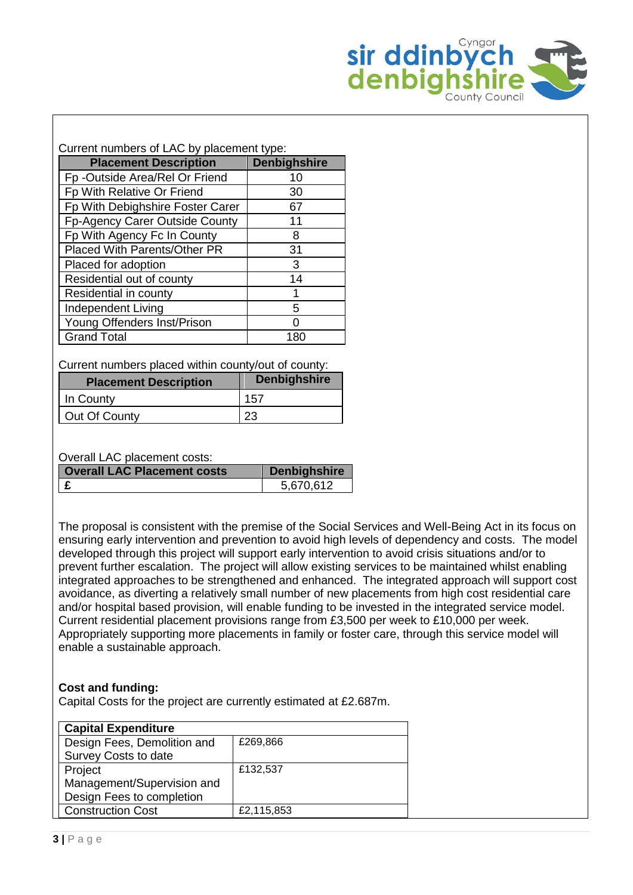

#### Current numbers of LAC by placement type:

| <b>Placement Description</b>     | <b>Denbighshire</b> |
|----------------------------------|---------------------|
| Fp -Outside Area/Rel Or Friend   | 10                  |
| Fp With Relative Or Friend       | 30                  |
| Fp With Debighshire Foster Carer | 67                  |
| Fp-Agency Carer Outside County   | 11                  |
| Fp With Agency Fc In County      | 8                   |
| Placed With Parents/Other PR     | 31                  |
| Placed for adoption              | 3                   |
| Residential out of county        | 14                  |
| Residential in county            |                     |
| <b>Independent Living</b>        | 5                   |
| Young Offenders Inst/Prison      |                     |
| <b>Grand Total</b>               | 180                 |

Current numbers placed within county/out of county:

| <b>Placement Description</b> | <b>Denbighshire</b> |
|------------------------------|---------------------|
| In County                    | 157                 |
| Out Of County                |                     |

#### Overall LAC placement costs:

| <b>Overall LAC Placement costs</b> | <b>Denbighshire</b> |
|------------------------------------|---------------------|
|                                    | 5.670.612           |

The proposal is consistent with the premise of the Social Services and Well-Being Act in its focus on ensuring early intervention and prevention to avoid high levels of dependency and costs. The model developed through this project will support early intervention to avoid crisis situations and/or to prevent further escalation. The project will allow existing services to be maintained whilst enabling integrated approaches to be strengthened and enhanced. The integrated approach will support cost avoidance, as diverting a relatively small number of new placements from high cost residential care and/or hospital based provision, will enable funding to be invested in the integrated service model. Current residential placement provisions range from £3,500 per week to £10,000 per week. Appropriately supporting more placements in family or foster care, through this service model will enable a sustainable approach.

#### **Cost and funding:**

Capital Costs for the project are currently estimated at £2.687m.

| <b>Capital Expenditure</b>  |            |
|-----------------------------|------------|
| Design Fees, Demolition and | £269,866   |
| Survey Costs to date        |            |
| Project                     | £132,537   |
| Management/Supervision and  |            |
| Design Fees to completion   |            |
| <b>Construction Cost</b>    | £2,115,853 |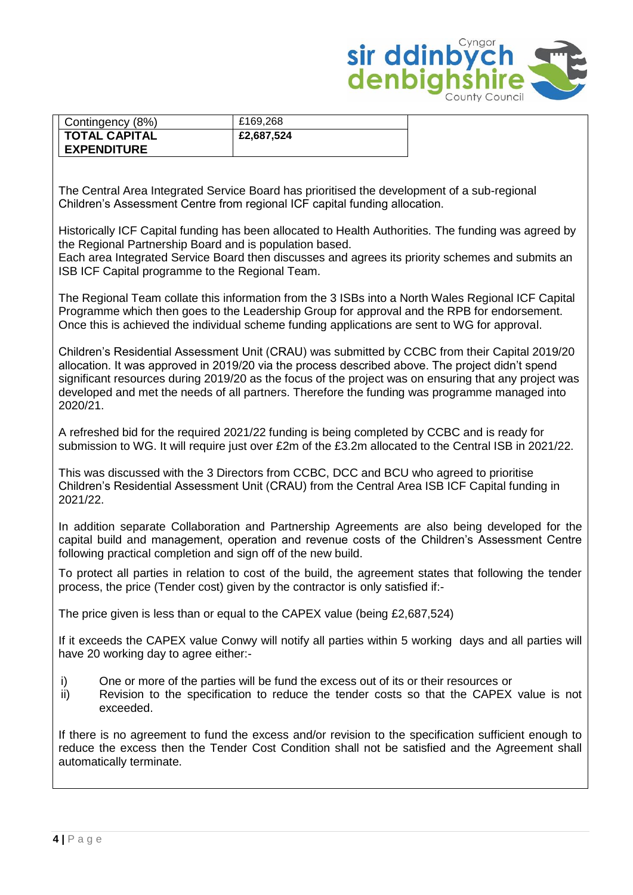

| Contingency (8%)     | £169.268   |
|----------------------|------------|
| <b>TOTAL CAPITAL</b> | £2,687,524 |
| <b>EXPENDITURE</b>   |            |

The Central Area Integrated Service Board has prioritised the development of a sub-regional Children's Assessment Centre from regional ICF capital funding allocation.

Historically ICF Capital funding has been allocated to Health Authorities. The funding was agreed by the Regional Partnership Board and is population based.

Each area Integrated Service Board then discusses and agrees its priority schemes and submits an ISB ICF Capital programme to the Regional Team.

The Regional Team collate this information from the 3 ISBs into a North Wales Regional ICF Capital Programme which then goes to the Leadership Group for approval and the RPB for endorsement. Once this is achieved the individual scheme funding applications are sent to WG for approval.

Children's Residential Assessment Unit (CRAU) was submitted by CCBC from their Capital 2019/20 allocation. It was approved in 2019/20 via the process described above. The project didn't spend significant resources during 2019/20 as the focus of the project was on ensuring that any project was developed and met the needs of all partners. Therefore the funding was programme managed into 2020/21.

A refreshed bid for the required 2021/22 funding is being completed by CCBC and is ready for submission to WG. It will require just over £2m of the £3.2m allocated to the Central ISB in 2021/22.

This was discussed with the 3 Directors from CCBC, DCC and BCU who agreed to prioritise Children's Residential Assessment Unit (CRAU) from the Central Area ISB ICF Capital funding in 2021/22.

In addition separate Collaboration and Partnership Agreements are also being developed for the capital build and management, operation and revenue costs of the Children's Assessment Centre following practical completion and sign off of the new build.

To protect all parties in relation to cost of the build, the agreement states that following the tender process, the price (Tender cost) given by the contractor is only satisfied if:-

The price given is less than or equal to the CAPEX value (being £2,687,524)

If it exceeds the CAPEX value Conwy will notify all parties within 5 working days and all parties will have 20 working day to agree either:-

- i) One or more of the parties will be fund the excess out of its or their resources or
- ii) Revision to the specification to reduce the tender costs so that the CAPEX value is not exceeded.

If there is no agreement to fund the excess and/or revision to the specification sufficient enough to reduce the excess then the Tender Cost Condition shall not be satisfied and the Agreement shall automatically terminate.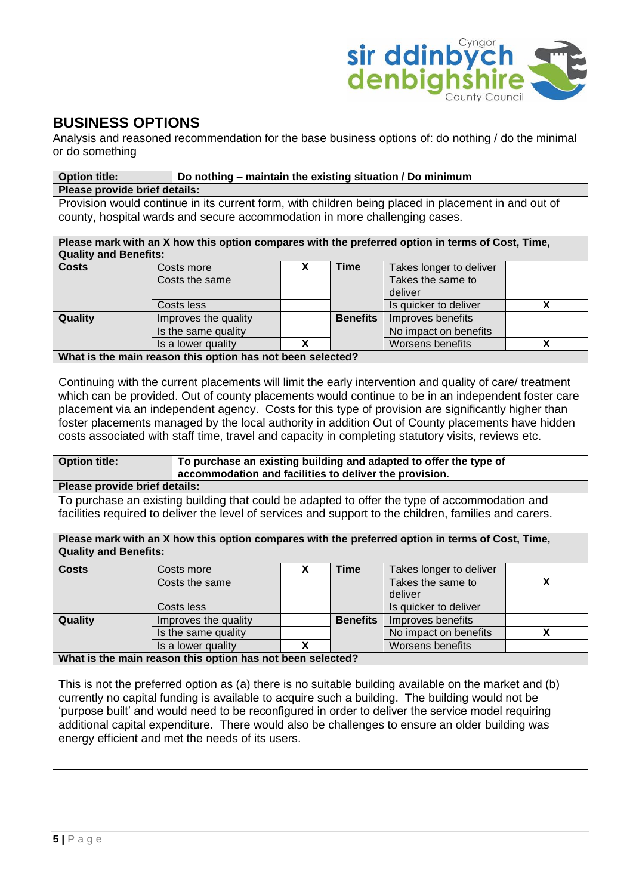

### **BUSINESS OPTIONS**

Analysis and reasoned recommendation for the base business options of: do nothing / do the minimal or do something

| <b>Option title:</b><br>Do nothing - maintain the existing situation / Do minimum                     |                                                                                                         |   |                 |                                                                   |   |
|-------------------------------------------------------------------------------------------------------|---------------------------------------------------------------------------------------------------------|---|-----------------|-------------------------------------------------------------------|---|
| Please provide brief details:                                                                         |                                                                                                         |   |                 |                                                                   |   |
|                                                                                                       | Provision would continue in its current form, with children being placed in placement in and out of     |   |                 |                                                                   |   |
|                                                                                                       | county, hospital wards and secure accommodation in more challenging cases.                              |   |                 |                                                                   |   |
|                                                                                                       |                                                                                                         |   |                 |                                                                   |   |
|                                                                                                       | Please mark with an X how this option compares with the preferred option in terms of Cost, Time,        |   |                 |                                                                   |   |
| <b>Quality and Benefits:</b>                                                                          |                                                                                                         |   |                 |                                                                   |   |
| <b>Costs</b>                                                                                          | Costs more                                                                                              | X | <b>Time</b>     | Takes longer to deliver                                           |   |
|                                                                                                       | Costs the same                                                                                          |   |                 | Takes the same to                                                 |   |
|                                                                                                       |                                                                                                         |   |                 | deliver                                                           |   |
|                                                                                                       | Costs less                                                                                              |   |                 | Is quicker to deliver                                             | X |
| Quality                                                                                               | Improves the quality                                                                                    |   | <b>Benefits</b> | Improves benefits                                                 |   |
|                                                                                                       | Is the same quality                                                                                     |   |                 | No impact on benefits                                             |   |
|                                                                                                       | Is a lower quality                                                                                      | X |                 | Worsens benefits                                                  | X |
|                                                                                                       | What is the main reason this option has not been selected?                                              |   |                 |                                                                   |   |
|                                                                                                       |                                                                                                         |   |                 |                                                                   |   |
|                                                                                                       | Continuing with the current placements will limit the early intervention and quality of care/ treatment |   |                 |                                                                   |   |
|                                                                                                       | which can be provided. Out of county placements would continue to be in an independent foster care      |   |                 |                                                                   |   |
|                                                                                                       | placement via an independent agency. Costs for this type of provision are significantly higher than     |   |                 |                                                                   |   |
|                                                                                                       | foster placements managed by the local authority in addition Out of County placements have hidden       |   |                 |                                                                   |   |
|                                                                                                       | costs associated with staff time, travel and capacity in completing statutory visits, reviews etc.      |   |                 |                                                                   |   |
|                                                                                                       |                                                                                                         |   |                 |                                                                   |   |
| <b>Option title:</b>                                                                                  |                                                                                                         |   |                 | To purchase an existing building and adapted to offer the type of |   |
|                                                                                                       | accommodation and facilities to deliver the provision.                                                  |   |                 |                                                                   |   |
| Please provide brief details:                                                                         |                                                                                                         |   |                 |                                                                   |   |
|                                                                                                       | To purchase an existing building that could be adapted to offer the type of accommodation and           |   |                 |                                                                   |   |
|                                                                                                       | facilities required to deliver the level of services and support to the children, families and carers.  |   |                 |                                                                   |   |
|                                                                                                       |                                                                                                         |   |                 |                                                                   |   |
|                                                                                                       | Please mark with an X how this option compares with the preferred option in terms of Cost, Time,        |   |                 |                                                                   |   |
| <b>Quality and Benefits:</b>                                                                          |                                                                                                         |   |                 |                                                                   |   |
| <b>Costs</b>                                                                                          | Costs more                                                                                              | X | <b>Time</b>     | Takes longer to deliver                                           |   |
|                                                                                                       | Costs the same                                                                                          |   |                 | Takes the same to                                                 | X |
|                                                                                                       |                                                                                                         |   |                 | deliver                                                           |   |
|                                                                                                       | Costs less                                                                                              |   |                 | Is quicker to deliver                                             |   |
| Quality                                                                                               | Improves the quality                                                                                    |   | <b>Benefits</b> | Improves benefits                                                 |   |
|                                                                                                       | Is the same quality                                                                                     |   |                 | No impact on benefits                                             | X |
|                                                                                                       | Is a lower quality                                                                                      | X |                 | Worsens benefits                                                  |   |
|                                                                                                       | What is the main reason this option has not been selected?                                              |   |                 |                                                                   |   |
|                                                                                                       |                                                                                                         |   |                 |                                                                   |   |
| This is not the preferred option as (a) there is no suitable building available on the market and (b) |                                                                                                         |   |                 |                                                                   |   |
| currently no capital funding is available to acquire such a building. The building would not be       |                                                                                                         |   |                 |                                                                   |   |
| purpose built' and would need to be reconfigured in order to deliver the service model requiring      |                                                                                                         |   |                 |                                                                   |   |
| additional capital expenditure. There would also be challenges to ensure an older building was        |                                                                                                         |   |                 |                                                                   |   |
|                                                                                                       | energy efficient and met the needs of its users.                                                        |   |                 |                                                                   |   |
|                                                                                                       |                                                                                                         |   |                 |                                                                   |   |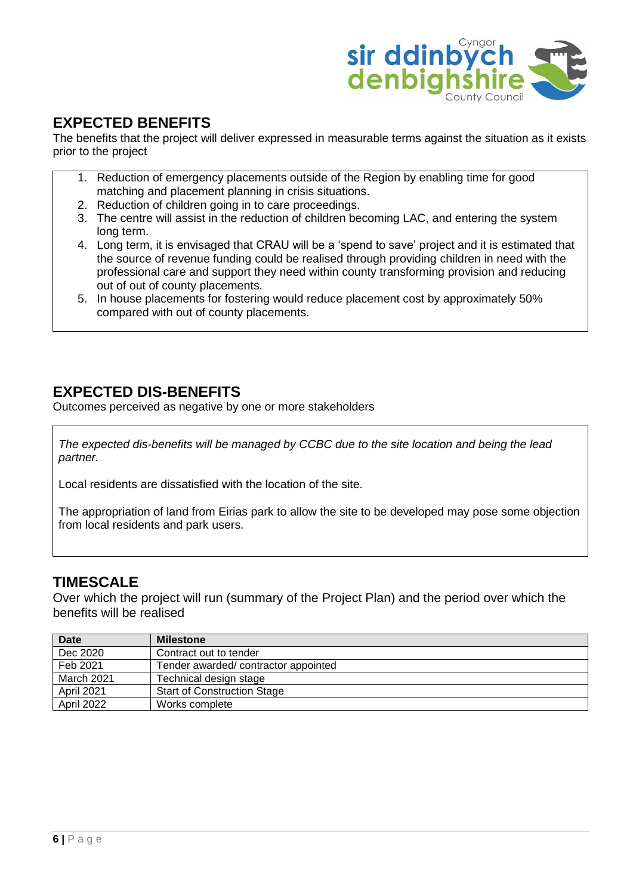

### **EXPECTED BENEFITS**

The benefits that the project will deliver expressed in measurable terms against the situation as it exists prior to the project

- 1. Reduction of emergency placements outside of the Region by enabling time for good matching and placement planning in crisis situations.
- 2. Reduction of children going in to care proceedings.
- 3. The centre will assist in the reduction of children becoming LAC, and entering the system long term.
- 4. Long term, it is envisaged that CRAU will be a 'spend to save' project and it is estimated that the source of revenue funding could be realised through providing children in need with the professional care and support they need within county transforming provision and reducing out of out of county placements.
- 5. In house placements for fostering would reduce placement cost by approximately 50% compared with out of county placements.

### **EXPECTED DIS-BENEFITS**

Outcomes perceived as negative by one or more stakeholders

*The expected dis-benefits will be managed by CCBC due to the site location and being the lead partner.*

Local residents are dissatisfied with the location of the site.

The appropriation of land from Eirias park to allow the site to be developed may pose some objection from local residents and park users.

### **TIMESCALE**

Over which the project will run (summary of the Project Plan) and the period over which the benefits will be realised

| <b>Date</b> | <b>Milestone</b>                    |
|-------------|-------------------------------------|
| Dec 2020    | Contract out to tender              |
| Feb 2021    | Tender awarded/contractor appointed |
| March 2021  | Technical design stage              |
| April 2021  | <b>Start of Construction Stage</b>  |
| April 2022  | Works complete                      |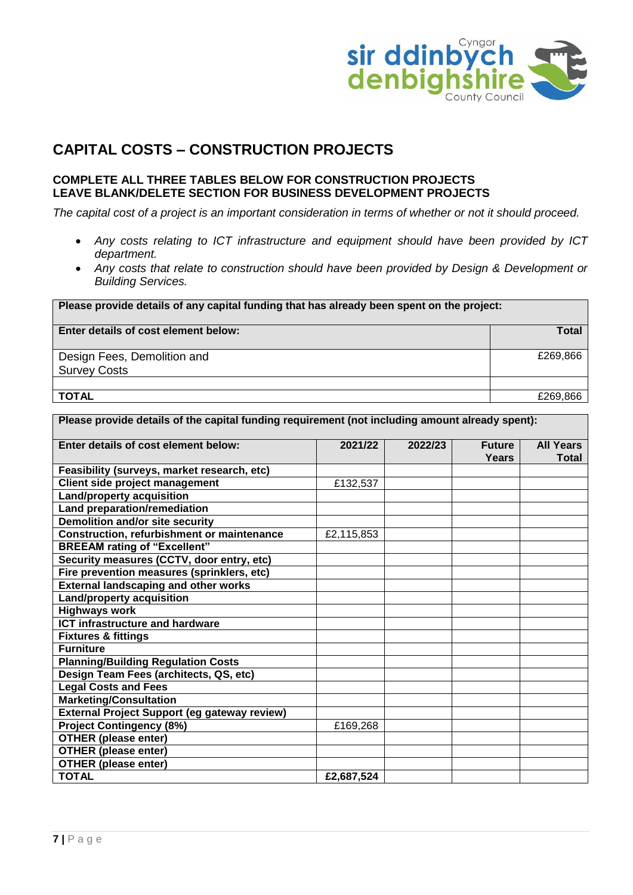

### **CAPITAL COSTS – CONSTRUCTION PROJECTS**

#### **COMPLETE ALL THREE TABLES BELOW FOR CONSTRUCTION PROJECTS LEAVE BLANK/DELETE SECTION FOR BUSINESS DEVELOPMENT PROJECTS**

*The capital cost of a project is an important consideration in terms of whether or not it should proceed.*

- *Any costs relating to ICT infrastructure and equipment should have been provided by ICT department.*
- *Any costs that relate to construction should have been provided by Design & Development or Building Services.*

| Please provide details of any capital funding that has already been spent on the project: |          |  |
|-------------------------------------------------------------------------------------------|----------|--|
| Enter details of cost element below:                                                      | Total    |  |
| Design Fees, Demolition and                                                               | £269,866 |  |
| <b>Survey Costs</b>                                                                       |          |  |
|                                                                                           |          |  |
| <b>TOTAL</b>                                                                              | £269,866 |  |

| Please provide details of the capital funding requirement (not including amount already spent): |            |         |                               |                           |
|-------------------------------------------------------------------------------------------------|------------|---------|-------------------------------|---------------------------|
| Enter details of cost element below:                                                            | 2021/22    | 2022/23 | <b>Future</b><br><b>Years</b> | <b>All Years</b><br>Total |
| Feasibility (surveys, market research, etc)                                                     |            |         |                               |                           |
| Client side project management                                                                  | £132,537   |         |                               |                           |
| <b>Land/property acquisition</b>                                                                |            |         |                               |                           |
| <b>Land preparation/remediation</b>                                                             |            |         |                               |                           |
| <b>Demolition and/or site security</b>                                                          |            |         |                               |                           |
| <b>Construction, refurbishment or maintenance</b>                                               | £2,115,853 |         |                               |                           |
| <b>BREEAM rating of "Excellent"</b>                                                             |            |         |                               |                           |
| Security measures (CCTV, door entry, etc)                                                       |            |         |                               |                           |
| Fire prevention measures (sprinklers, etc)                                                      |            |         |                               |                           |
| <b>External landscaping and other works</b>                                                     |            |         |                               |                           |
| <b>Land/property acquisition</b>                                                                |            |         |                               |                           |
| <b>Highways work</b>                                                                            |            |         |                               |                           |
| <b>ICT infrastructure and hardware</b>                                                          |            |         |                               |                           |
| <b>Fixtures &amp; fittings</b>                                                                  |            |         |                               |                           |
| <b>Furniture</b>                                                                                |            |         |                               |                           |
| <b>Planning/Building Regulation Costs</b>                                                       |            |         |                               |                           |
| Design Team Fees (architects, QS, etc)                                                          |            |         |                               |                           |
| <b>Legal Costs and Fees</b>                                                                     |            |         |                               |                           |
| <b>Marketing/Consultation</b>                                                                   |            |         |                               |                           |
| External Project Support (eg gateway review)                                                    |            |         |                               |                           |
| <b>Project Contingency (8%)</b>                                                                 | £169,268   |         |                               |                           |
| <b>OTHER (please enter)</b>                                                                     |            |         |                               |                           |
| <b>OTHER (please enter)</b>                                                                     |            |         |                               |                           |
| <b>OTHER (please enter)</b>                                                                     |            |         |                               |                           |
| <b>TOTAL</b>                                                                                    | £2,687,524 |         |                               |                           |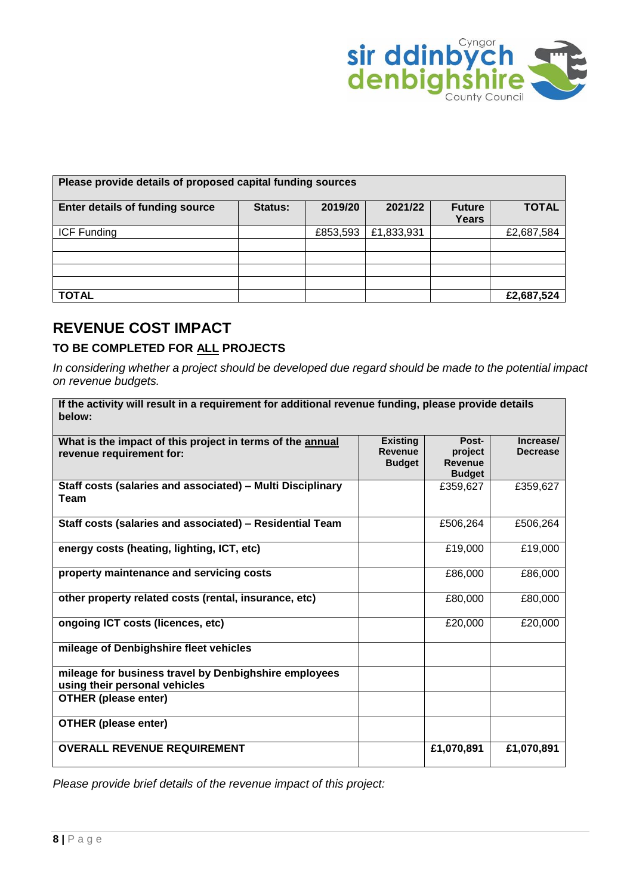

| Please provide details of proposed capital funding sources |         |          |            |                        |              |  |
|------------------------------------------------------------|---------|----------|------------|------------------------|--------------|--|
| <b>Enter details of funding source</b>                     | Status: | 2019/20  | 2021/22    | <b>Future</b><br>Years | <b>TOTAL</b> |  |
| <b>ICF Funding</b>                                         |         | £853,593 | £1,833,931 |                        | £2,687,584   |  |
|                                                            |         |          |            |                        |              |  |
|                                                            |         |          |            |                        |              |  |
| <b>TOTAL</b>                                               |         |          |            |                        | £2,687,524   |  |

### **REVENUE COST IMPACT**

#### **TO BE COMPLETED FOR ALL PROJECTS**

*In considering whether a project should be developed due regard should be made to the potential impact on revenue budgets.*

| If the activity will result in a requirement for additional revenue funding, please provide details<br>below: |                                                    |                                                     |                              |
|---------------------------------------------------------------------------------------------------------------|----------------------------------------------------|-----------------------------------------------------|------------------------------|
| What is the impact of this project in terms of the annual<br>revenue requirement for:                         | <b>Existing</b><br><b>Revenue</b><br><b>Budget</b> | Post-<br>project<br><b>Revenue</b><br><b>Budget</b> | Increase/<br><b>Decrease</b> |
| Staff costs (salaries and associated) - Multi Disciplinary<br>Team                                            |                                                    | £359,627                                            | £359,627                     |
| Staff costs (salaries and associated) - Residential Team                                                      |                                                    | £506,264                                            | £506,264                     |
| energy costs (heating, lighting, ICT, etc)                                                                    |                                                    | £19,000                                             | £19,000                      |
| property maintenance and servicing costs                                                                      |                                                    | £86,000                                             | £86,000                      |
| other property related costs (rental, insurance, etc)                                                         |                                                    | £80,000                                             | £80,000                      |
| ongoing ICT costs (licences, etc)                                                                             |                                                    | £20,000                                             | £20,000                      |
| mileage of Denbighshire fleet vehicles                                                                        |                                                    |                                                     |                              |
| mileage for business travel by Denbighshire employees<br>using their personal vehicles                        |                                                    |                                                     |                              |
| <b>OTHER (please enter)</b>                                                                                   |                                                    |                                                     |                              |
| <b>OTHER (please enter)</b>                                                                                   |                                                    |                                                     |                              |
| <b>OVERALL REVENUE REQUIREMENT</b>                                                                            |                                                    | £1,070,891                                          | £1,070,891                   |

*Please provide brief details of the revenue impact of this project:*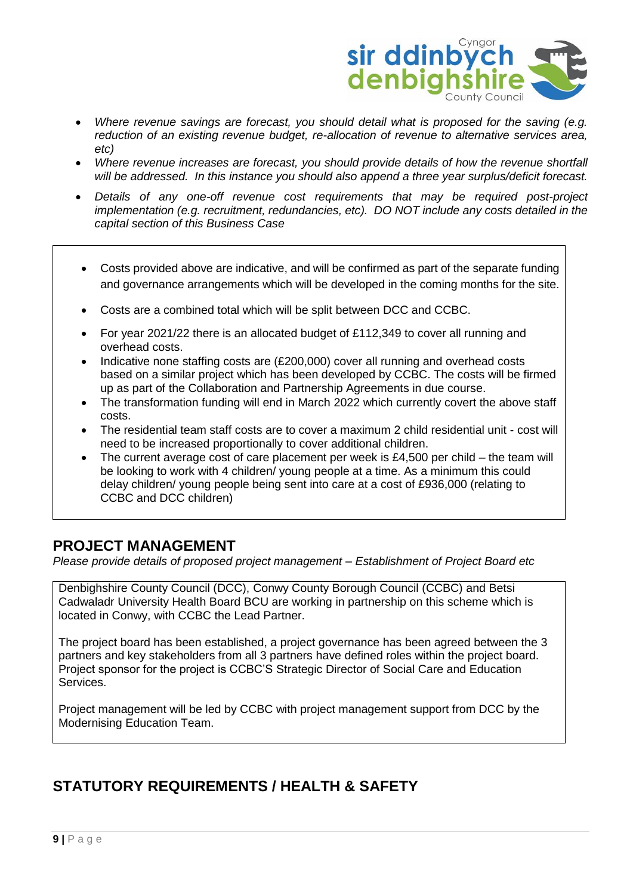

- *Where revenue savings are forecast, you should detail what is proposed for the saving (e.g. reduction of an existing revenue budget, re-allocation of revenue to alternative services area, etc)*
- *Where revenue increases are forecast, you should provide details of how the revenue shortfall will be addressed. In this instance you should also append a three year surplus/deficit forecast.*
- *Details of any one-off revenue cost requirements that may be required post-project implementation (e.g. recruitment, redundancies, etc). DO NOT include any costs detailed in the capital section of this Business Case*
	- Costs provided above are indicative, and will be confirmed as part of the separate funding and governance arrangements which will be developed in the coming months for the site.
- Costs are a combined total which will be split between DCC and CCBC.
- For year 2021/22 there is an allocated budget of £112,349 to cover all running and overhead costs.
- Indicative none staffing costs are (£200,000) cover all running and overhead costs based on a similar project which has been developed by CCBC. The costs will be firmed up as part of the Collaboration and Partnership Agreements in due course.
- The transformation funding will end in March 2022 which currently covert the above staff costs.
- The residential team staff costs are to cover a maximum 2 child residential unit cost will need to be increased proportionally to cover additional children.
- The current average cost of care placement per week is £4,500 per child the team will be looking to work with 4 children/ young people at a time. As a minimum this could delay children/ young people being sent into care at a cost of £936,000 (relating to CCBC and DCC children)

### **PROJECT MANAGEMENT**

*Please provide details of proposed project management – Establishment of Project Board etc*

Denbighshire County Council (DCC), Conwy County Borough Council (CCBC) and Betsi Cadwaladr University Health Board BCU are working in partnership on this scheme which is located in Conwy, with CCBC the Lead Partner.

The project board has been established, a project governance has been agreed between the 3 partners and key stakeholders from all 3 partners have defined roles within the project board. Project sponsor for the project is CCBC'S Strategic Director of Social Care and Education Services.

Project management will be led by CCBC with project management support from DCC by the Modernising Education Team.

### **STATUTORY REQUIREMENTS / HEALTH & SAFETY**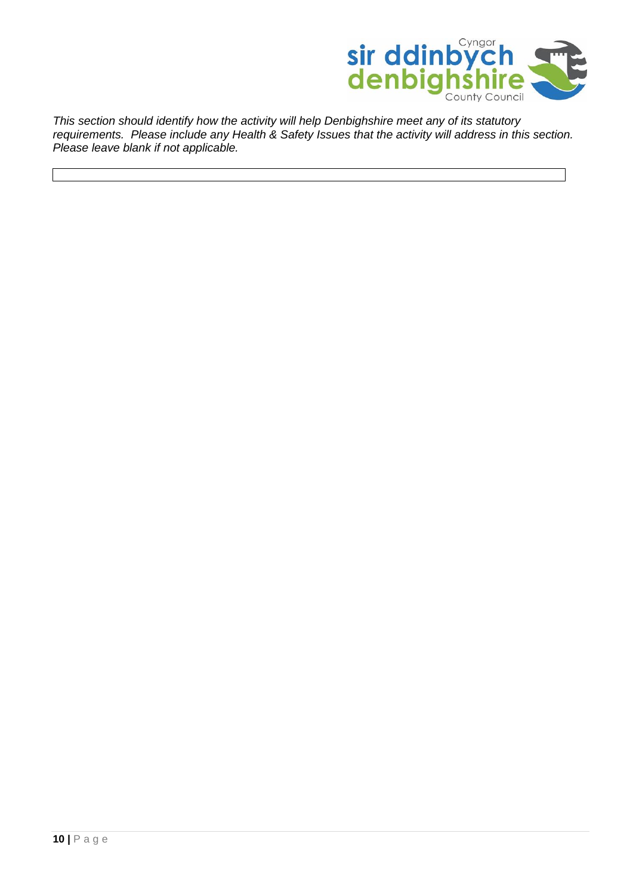

*This section should identify how the activity will help Denbighshire meet any of its statutory requirements. Please include any Health & Safety Issues that the activity will address in this section. Please leave blank if not applicable.*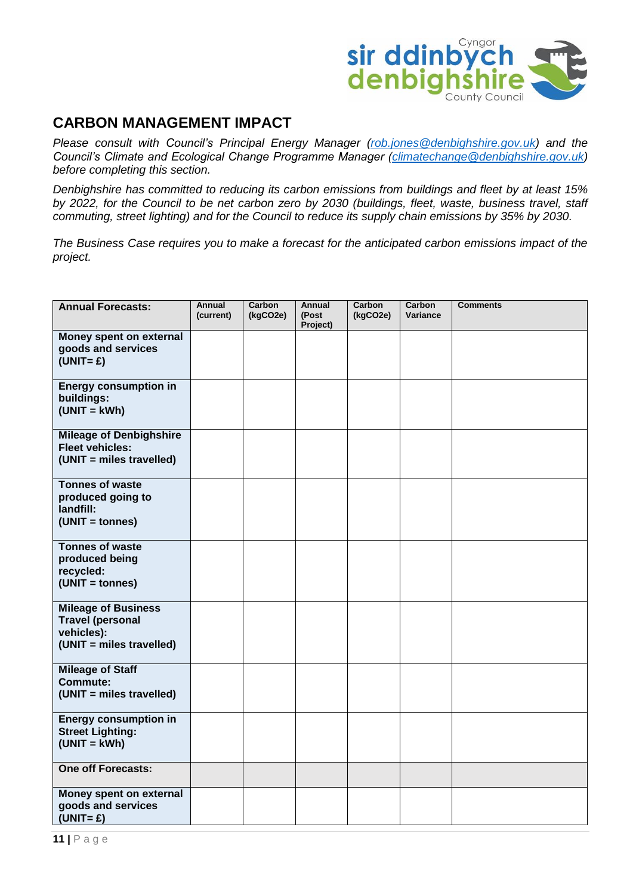

### **CARBON MANAGEMENT IMPACT**

*Please consult with Council's Principal Energy Manager [\(rob.jones@denbighshire.gov.uk\)](mailto:rob.jones@denbighshire.gov.uk) and the Council's Climate and Ecological Change Programme Manager [\(climatechange@denbighshire.gov.uk\)](mailto:climatechange@denbighshire.gov.uk) before completing this section.*

*Denbighshire has committed to reducing its carbon emissions from buildings and fleet by at least 15% by 2022, for the Council to be net carbon zero by 2030 (buildings, fleet, waste, business travel, staff commuting, street lighting) and for the Council to reduce its supply chain emissions by 35% by 2030.* 

*The Business Case requires you to make a forecast for the anticipated carbon emissions impact of the project.* 

| <b>Annual Forecasts:</b>                                                                        | Annual<br>(current) | Carbon<br>(kgCO2e) | <b>Annual</b><br>(Post<br>Project) | Carbon<br>(kgCO2e) | Carbon<br>Variance | <b>Comments</b> |
|-------------------------------------------------------------------------------------------------|---------------------|--------------------|------------------------------------|--------------------|--------------------|-----------------|
| Money spent on external<br>goods and services<br>$(UNIT = £)$                                   |                     |                    |                                    |                    |                    |                 |
| <b>Energy consumption in</b><br>buildings:<br>$(UNIT = kWh)$                                    |                     |                    |                                    |                    |                    |                 |
| <b>Mileage of Denbighshire</b><br><b>Fleet vehicles:</b><br>(UNIT = miles travelled)            |                     |                    |                                    |                    |                    |                 |
| <b>Tonnes of waste</b><br>produced going to<br>landfill:<br>(UNIT = tonnes)                     |                     |                    |                                    |                    |                    |                 |
| <b>Tonnes of waste</b><br>produced being<br>recycled:<br>(UNIT = tonnes)                        |                     |                    |                                    |                    |                    |                 |
| <b>Mileage of Business</b><br><b>Travel (personal</b><br>vehicles):<br>(UNIT = miles travelled) |                     |                    |                                    |                    |                    |                 |
| <b>Mileage of Staff</b><br><b>Commute:</b><br>(UNIT = miles travelled)                          |                     |                    |                                    |                    |                    |                 |
| <b>Energy consumption in</b><br><b>Street Lighting:</b><br>$(UNIT = kWh)$                       |                     |                    |                                    |                    |                    |                 |
| <b>One off Forecasts:</b>                                                                       |                     |                    |                                    |                    |                    |                 |
| Money spent on external<br>goods and services<br>$(UNIT = £)$                                   |                     |                    |                                    |                    |                    |                 |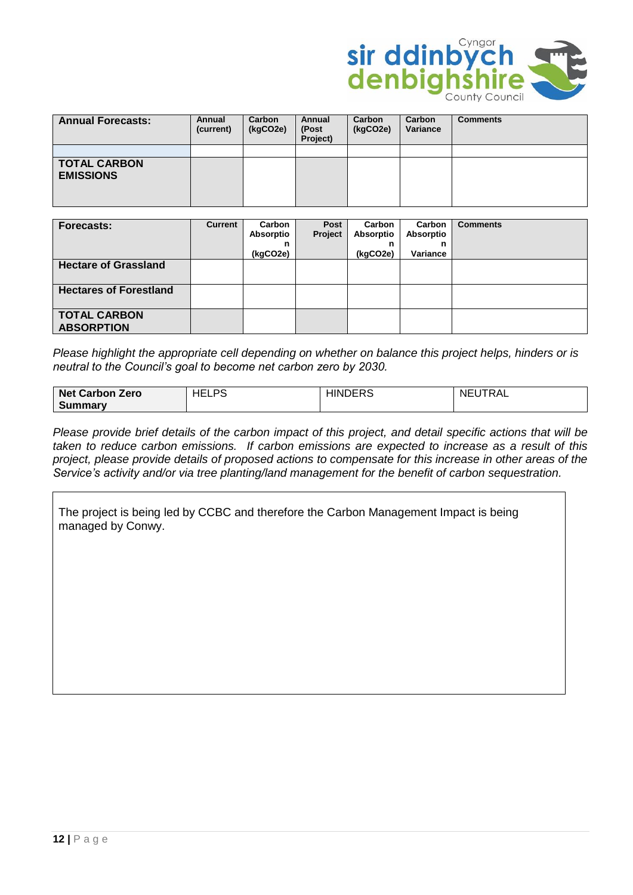

| <b>Annual Forecasts:</b>                | Annual<br>(current) | Carbon<br>(kgCO2e) | Annual<br>(Post<br>Project) | Carbon<br>(kgCO2e) | Carbon<br>Variance | <b>Comments</b> |
|-----------------------------------------|---------------------|--------------------|-----------------------------|--------------------|--------------------|-----------------|
|                                         |                     |                    |                             |                    |                    |                 |
| <b>TOTAL CARBON</b><br><b>EMISSIONS</b> |                     |                    |                             |                    |                    |                 |

| Forecasts:                               | <b>Current</b> | Carbon<br>Absorptio<br>n<br>(kgCO2e) | Post<br>Project | Carbon<br><b>Absorptio</b><br>n<br>(kgCO2e) | Carbon<br>Absorptio<br>n<br>Variance | <b>Comments</b> |
|------------------------------------------|----------------|--------------------------------------|-----------------|---------------------------------------------|--------------------------------------|-----------------|
| <b>Hectare of Grassland</b>              |                |                                      |                 |                                             |                                      |                 |
| <b>Hectares of Forestland</b>            |                |                                      |                 |                                             |                                      |                 |
| <b>TOTAL CARBON</b><br><b>ABSORPTION</b> |                |                                      |                 |                                             |                                      |                 |

*Please highlight the appropriate cell depending on whether on balance this project helps, hinders or is neutral to the Council's goal to become net carbon zero by 2030.*

| <b>Net Carbon Zero</b> | DC<br>$\sim$<br>--<br>. | $\Gamma$<br>JUERS.<br>я. | TRAL<br>N⊢<br>. |
|------------------------|-------------------------|--------------------------|-----------------|
| Summary                |                         |                          |                 |

*Please provide brief details of the carbon impact of this project, and detail specific actions that will be taken to reduce carbon emissions. If carbon emissions are expected to increase as a result of this project, please provide details of proposed actions to compensate for this increase in other areas of the Service's activity and/or via tree planting/land management for the benefit of carbon sequestration.*

The project is being led by CCBC and therefore the Carbon Management Impact is being managed by Conwy.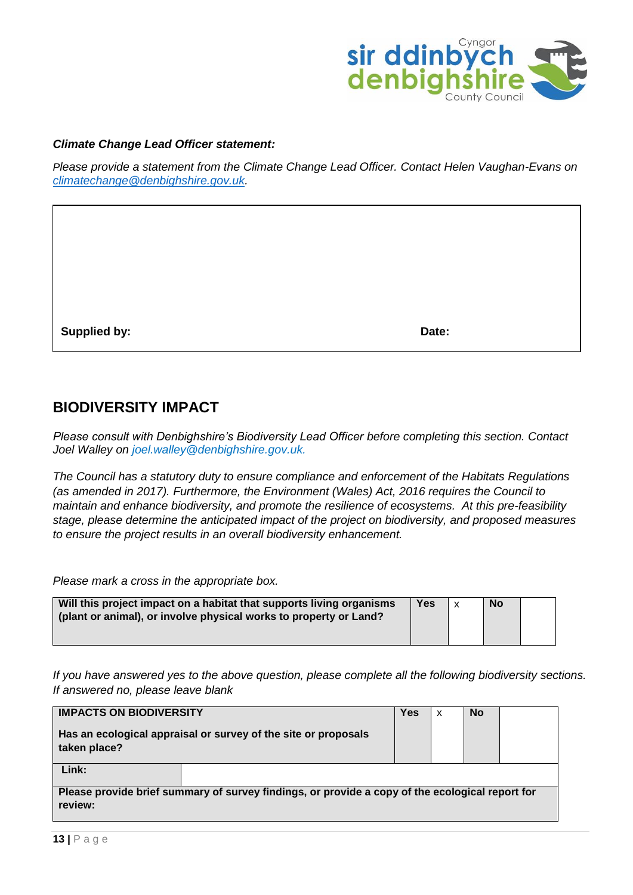

#### *Climate Change Lead Officer statement:*

*Please provide a statement from the Climate Change Lead Officer. Contact Helen Vaughan-Evans on [climatechange@denbighshire.gov.uk.](mailto:climatechange@denbighshire.gov.uk)* 

**Supplied by:** Date:

#### **BIODIVERSITY IMPACT**

*Please consult with Denbighshire's Biodiversity Lead Officer before completing this section. Contact Joel Walley on joel.walley@denbighshire.gov.uk.*

*The Council has a statutory duty to ensure compliance and enforcement of the Habitats Regulations (as amended in 2017). Furthermore, the Environment (Wales) Act, 2016 requires the Council to maintain and enhance biodiversity, and promote the resilience of ecosystems. At this pre-feasibility stage, please determine the anticipated impact of the project on biodiversity, and proposed measures to ensure the project results in an overall biodiversity enhancement.*

*Please mark a cross in the appropriate box.*

| Will this project impact on a habitat that supports living organisms<br>(plant or animal), or involve physical works to property or Land? | Yes | $\mathsf{x}$ | <b>No</b> |  |
|-------------------------------------------------------------------------------------------------------------------------------------------|-----|--------------|-----------|--|
|                                                                                                                                           |     |              |           |  |

*If you have answered yes to the above question, please complete all the following biodiversity sections. If answered no, please leave blank*

| <b>IMPACTS ON BIODIVERSITY</b>                                                                             |                                                                | Yes | x | <b>No</b> |  |
|------------------------------------------------------------------------------------------------------------|----------------------------------------------------------------|-----|---|-----------|--|
| taken place?                                                                                               | Has an ecological appraisal or survey of the site or proposals |     |   |           |  |
| Link:                                                                                                      |                                                                |     |   |           |  |
| Please provide brief summary of survey findings, or provide a copy of the ecological report for<br>review: |                                                                |     |   |           |  |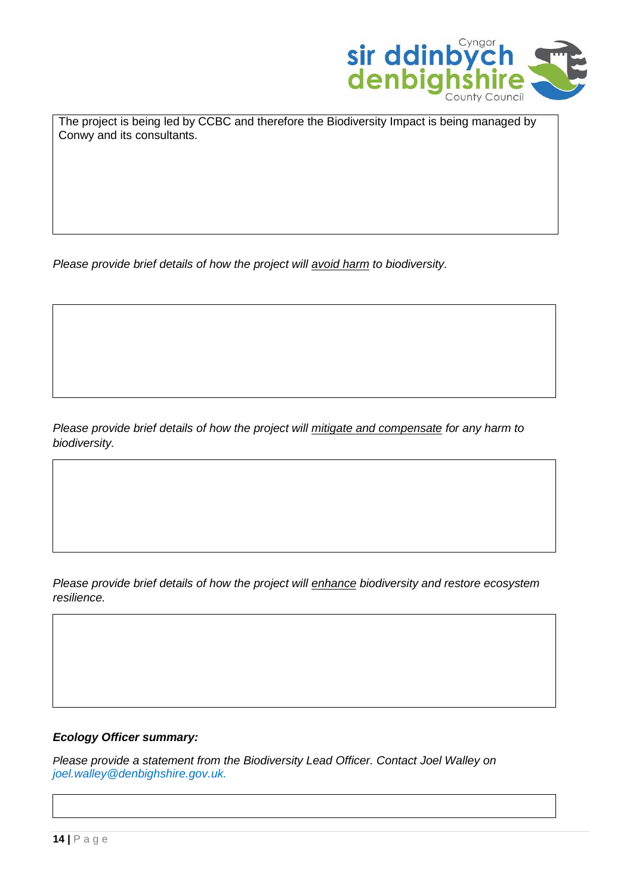

The project is being led by CCBC and therefore the Biodiversity Impact is being managed by Conwy and its consultants.

*Please provide brief details of how the project will avoid harm to biodiversity.*

*Please provide brief details of how the project will mitigate and compensate for any harm to biodiversity.*

*Please provide brief details of how the project will enhance biodiversity and restore ecosystem resilience.*

#### *Ecology Officer summary:*

*Please provide a statement from the Biodiversity Lead Officer. Contact Joel Walley on joel.walley@denbighshire.gov.uk.*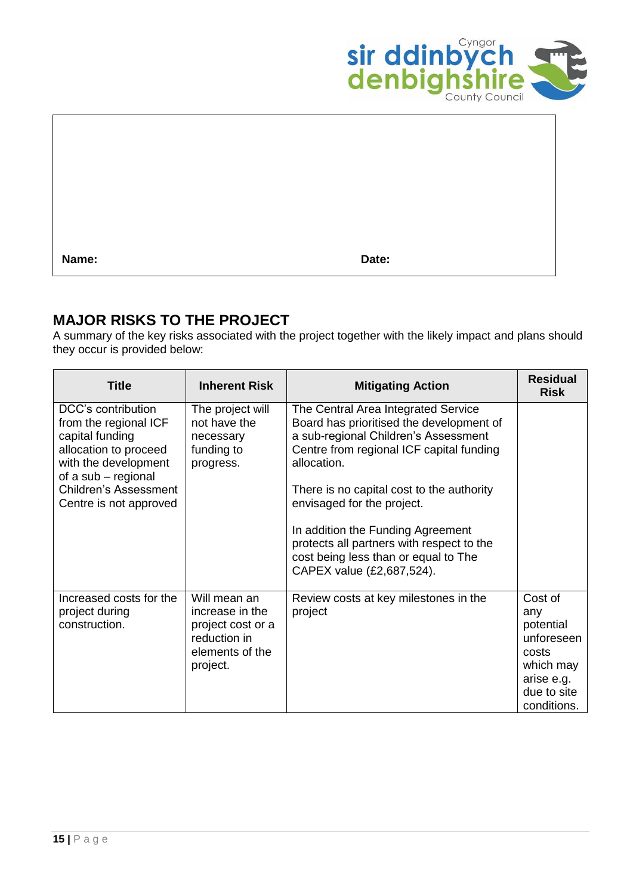

**Name: Date:**

### **MAJOR RISKS TO THE PROJECT**

A summary of the key risks associated with the project together with the likely impact and plans should they occur is provided below:

| <b>Title</b>                                                                                                                                                                                     | <b>Inherent Risk</b>                                                                                | <b>Mitigating Action</b>                                                                                                                                                                                                                                                                                                                                                                                             | <b>Residual</b><br><b>Risk</b>                                                                              |
|--------------------------------------------------------------------------------------------------------------------------------------------------------------------------------------------------|-----------------------------------------------------------------------------------------------------|----------------------------------------------------------------------------------------------------------------------------------------------------------------------------------------------------------------------------------------------------------------------------------------------------------------------------------------------------------------------------------------------------------------------|-------------------------------------------------------------------------------------------------------------|
| DCC's contribution<br>from the regional ICF<br>capital funding<br>allocation to proceed<br>with the development<br>of a sub - regional<br><b>Children's Assessment</b><br>Centre is not approved | The project will<br>not have the<br>necessary<br>funding to<br>progress.                            | The Central Area Integrated Service<br>Board has prioritised the development of<br>a sub-regional Children's Assessment<br>Centre from regional ICF capital funding<br>allocation.<br>There is no capital cost to the authority<br>envisaged for the project.<br>In addition the Funding Agreement<br>protects all partners with respect to the<br>cost being less than or equal to The<br>CAPEX value (£2,687,524). |                                                                                                             |
| Increased costs for the<br>project during<br>construction.                                                                                                                                       | Will mean an<br>increase in the<br>project cost or a<br>reduction in<br>elements of the<br>project. | Review costs at key milestones in the<br>project                                                                                                                                                                                                                                                                                                                                                                     | Cost of<br>any<br>potential<br>unforeseen<br>costs<br>which may<br>arise e.g.<br>due to site<br>conditions. |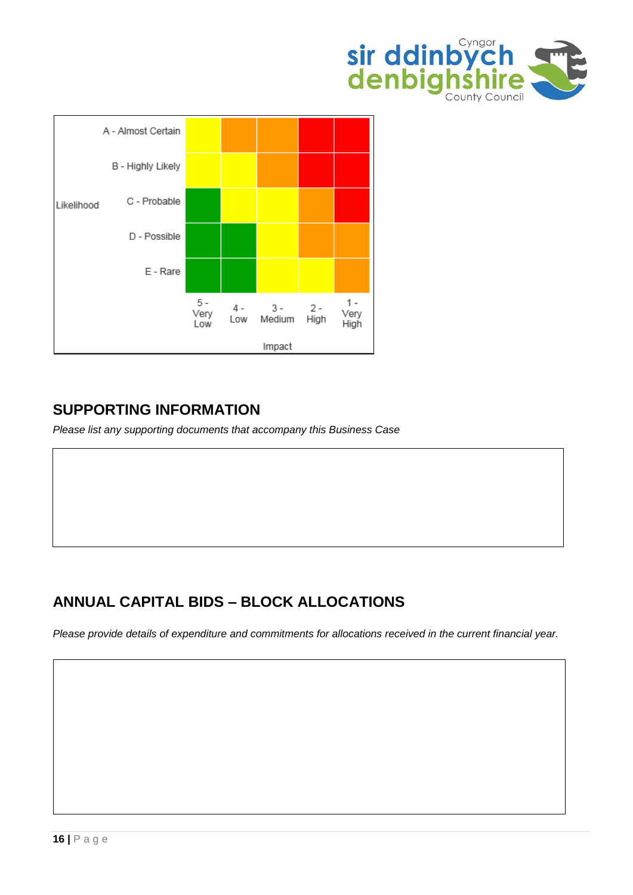



### **SUPPORTING INFORMATION**

*Please list any supporting documents that accompany this Business Case*

### **ANNUAL CAPITAL BIDS – BLOCK ALLOCATIONS**

*Please provide details of expenditure and commitments for allocations received in the current financial year.*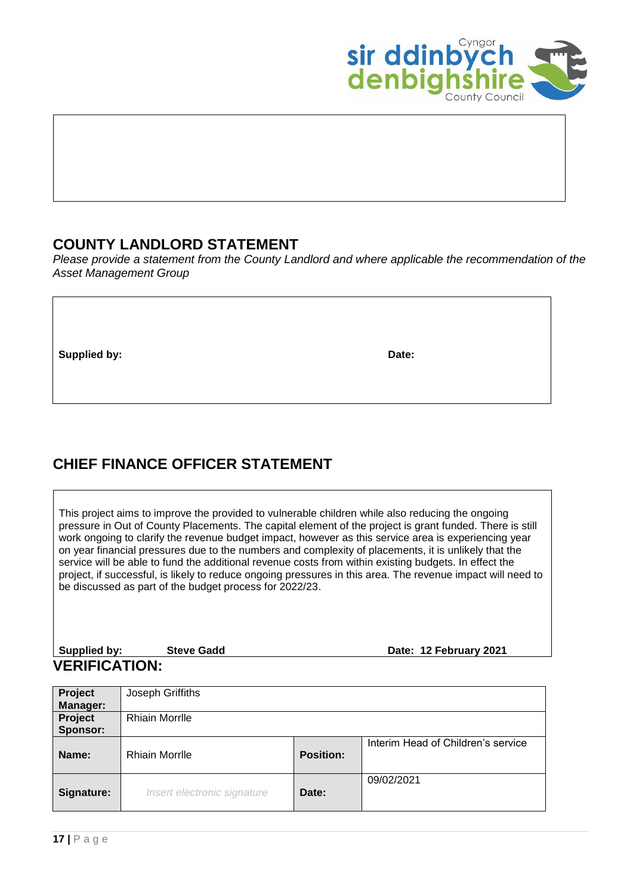

### **COUNTY LANDLORD STATEMENT**

*Please provide a statement from the County Landlord and where applicable the recommendation of the Asset Management Group*

**Supplied by:** Date:

### **CHIEF FINANCE OFFICER STATEMENT**

This project aims to improve the provided to vulnerable children while also reducing the ongoing pressure in Out of County Placements. The capital element of the project is grant funded. There is still work ongoing to clarify the revenue budget impact, however as this service area is experiencing year on year financial pressures due to the numbers and complexity of placements, it is unlikely that the service will be able to fund the additional revenue costs from within existing budgets. In effect the project, if successful, is likely to reduce ongoing pressures in this area. The revenue impact will need to be discussed as part of the budget process for 2022/23.

| Supplied by:         | <b>Steve Gadd</b> | Date: 12 February 2021 |
|----------------------|-------------------|------------------------|
| <b>VERIFICATION:</b> |                   |                        |

| Project    | Joseph Griffiths            |                  |                                    |
|------------|-----------------------------|------------------|------------------------------------|
| Manager:   |                             |                  |                                    |
| Project    | <b>Rhiain Morrille</b>      |                  |                                    |
| Sponsor:   |                             |                  |                                    |
| Name:      | <b>Rhiain Morrille</b>      | <b>Position:</b> | Interim Head of Children's service |
| Signature: | Insert electronic signature | Date:            | 09/02/2021                         |